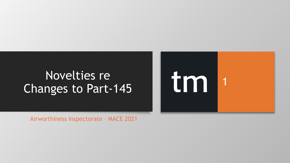## Novelties re Changes to Part -145

Airworthiness Inspectorate – MACE 2021

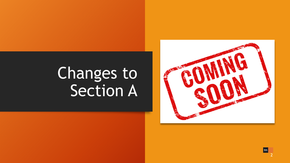## Changes to Section A

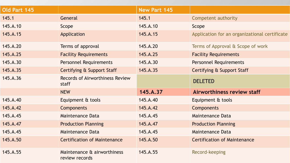| Old Part 145 |                                                 | New Part 145 |                                               |
|--------------|-------------------------------------------------|--------------|-----------------------------------------------|
| 145.1        | General                                         | 145.1        | Competent authority                           |
| 145.A.10     | Scope                                           | 145.A.10     | Scope                                         |
| 145.A.15     | Application                                     | 145.A.15     | Application for an organizational certificate |
| 145.A.20     | Terms of approval                               | 145.A.20     | Terms of Approval & Scope of work             |
| 145.A.25     | <b>Facility Requirements</b>                    | 145.A.25     | <b>Facility Requirements</b>                  |
| 145.A.30     | <b>Personnel Requirements</b>                   | 145.A.30     | Personnel Requirements                        |
| 145.A.35     | Certifying & Support Staff                      | 145.A.35     | Certifying & Support Staff                    |
| 145.A.36     | <b>Records of Airworthiness Review</b><br>staff |              | <b>DELETED</b>                                |
|              | <b>NEW</b>                                      | 145.A.37     | Airworthiness review staff                    |
| 145.A.40     | Equipment & tools                               | 145.A.40     | Equipment & tools                             |
| 145.A.42     | Components                                      | 145.A.42     | Components                                    |
| 145.A.45     | <b>Maintenance Data</b>                         | 145.A.45     | <b>Maintenance Data</b>                       |
| 145.A.47     | <b>Production Planning</b>                      | 145.A.47     | <b>Production Planning</b>                    |
| 145.A.45     | <b>Maintenance Data</b>                         | 145.A.45     | <b>Maintenance Data</b>                       |
| 145.A.50     | <b>Certification of Maintenance</b>             | 145.A.50     | <b>Certification of Maintenance</b>           |
| 145.A.55     | Maintenance & airworthiness<br>review records   | 145.A.55     | Record-keeping                                |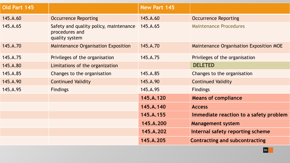| Old Part 145 |                                                                            | <b>New Part 145</b> |                                         |
|--------------|----------------------------------------------------------------------------|---------------------|-----------------------------------------|
| 145.A.60     | <b>Occurrence Reporting</b>                                                | 145.A.60            | <b>Occurrence Reporting</b>             |
| 145.A.65     | Safety and quality policy, maintenance<br>procedures and<br>quality system | 145.A.65            | <b>Maintenance Procedures</b>           |
| 145.A.70     | <b>Maintenance Organisation Exposition</b>                                 | 145.A.70            | Maintenance Organisation Exposition MOE |
| 145.A.75     | Privileges of the organisation                                             | 145.A.75            | Privileges of the organisation          |
| 145.A.80     | Limitations of the organization                                            |                     | <b>DELETED</b>                          |
| 145.A.85     | Changes to the organisation                                                | 145.A.85            | Changes to the organisation             |
| 145.A.90     | <b>Continued Validity</b>                                                  | 145.A.90            | <b>Continued Validity</b>               |
| 145.A.95     | <b>Findings</b>                                                            | 145.A.95            | <b>Findings</b>                         |
|              |                                                                            | 145.A.120           | <b>Means of compliance</b>              |
|              |                                                                            | 145.A.140           | <b>Access</b>                           |
|              |                                                                            | 145.A.155           | Immediate reaction to a safety problem  |
|              |                                                                            | 145.A.200           | <b>Management system</b>                |
|              |                                                                            | 145.A.202           | Internal safety reporting scheme        |
|              |                                                                            | 145.A.205           | <b>Contracting and subcontracting</b>   |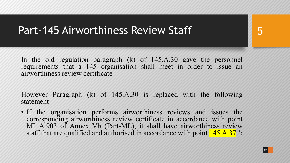#### Part-145 Airworthiness Review Staff

In the old regulation paragraph (k) of 145.A.30 gave the personnel requirements that a 145 organisation shall meet in order to issue an airworthiness review certificate

However Paragraph (k) of 145.A.30 is replaced with the following statement

• If the organisation performs airworthiness reviews and issues the corresponding airworthiness review certificate in accordance with point ML.A.903 of Annex Vb (Part-ML), it shall have airworthiness review staff that are qualified and authorised in accordance with point  $145.A.37$ .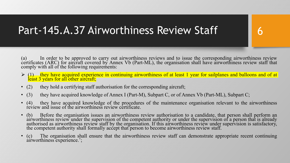### Part-145.A.37 Airworthiness Review Staff

(a) In order to be approved to carry out airworthiness reviews and to issue the corresponding airworthiness review certificates (ARC) for aircraft covered by Annex Vb (Part-ML), the organisation shall have airworthiness review staff that comply with all of the following requirements:

6

- $\triangleright$  (1) they have acquired experience in continuing airworthiness of at least 1 year for sailplanes and balloons and of at least 3 years for all other aircraft;
- (2) they hold a certifying staff authorisation for the corresponding aircraft;
- (3) they have acquired knowledge of Annex I (Part-M), Subpart C, or of Annex Vb (Part-ML), Subpart C;
- (4) they have acquired knowledge of the procedures of the maintenance organisation relevant to the airworthiness review and issue of the airworthiness review certificate.
- (b) Before the organisation issues an airworthiness review authorisation to a candidate, that person shall perform an airworthiness review under the supervision of the competent authority or under the supervision of a person that is already<br>authorised as airworthiness review staff by the organisation. If this airworthiness review under su
- (c) The organisation shall ensure that the airworthiness review staff can demonstrate appropriate recent continuing airworthiness experience.';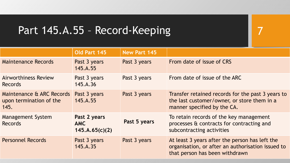### Part 145.A.55 - Record-Keeping

|                                                              | Old Part 145                                 | <b>New Part 145</b> |                                                                                                                                       |
|--------------------------------------------------------------|----------------------------------------------|---------------------|---------------------------------------------------------------------------------------------------------------------------------------|
| <b>Maintenance Records</b>                                   | Past 3 years<br>145.A.55                     | Past 3 years        | From date of issue of CRS                                                                                                             |
| <b>Airworthiness Review</b><br><b>Records</b>                | Past 3 years<br>145.A.36                     | Past 3 years        | From date of issue of the ARC                                                                                                         |
| Maintenance & ARC Records<br>upon termination of the<br>145. | Past 3 years<br>145.A.55                     | Past 3 years        | Transfer retained records for the past 3 years to<br>the last customer/owner, or store them in a<br>manner specified by the CA.       |
| <b>Management System</b><br><b>Records</b>                   | Past 2 years<br><b>AMC</b><br>145.A.65(c)(2) | Past 5 years        | To retain records of the key management<br>processes & contracts for contracting and<br>subcontracting activities                     |
| <b>Personnel Records</b>                                     | Past 3 years<br>145.A.35                     | Past 3 years        | At least 3 years after the person has left the<br>organisation, or after an authorisation issued to<br>that person has been withdrawn |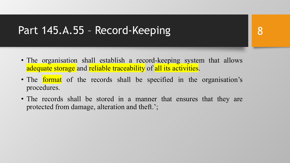#### Part 145.A.55 – Record-Keeping

- The organisation shall establish a record-keeping system that allows adequate storage and reliable traceability of all its activities.
- The **format** of the records shall be specified in the organisation's procedures.
- The records shall be stored in a manner that ensures that they are protected from damage, alteration and theft.';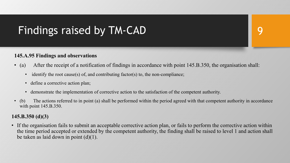## Findings raised by TM-CAD

#### **145.A.95 Findings and observations**

- (a) After the receipt of a notification of findings in accordance with point 145.B.350, the organisation shall:
	- identify the root cause(s) of, and contributing factor(s) to, the non-compliance;
	- define a corrective action plan;
	- demonstrate the implementation of corrective action to the satisfaction of the competent authority.
- (b) The actions referred to in point (a) shall be performed within the period agreed with that competent authority in accordance with point 145.B.350.

#### **145.B.350 (d)(3)**

• If the organisation fails to submit an acceptable corrective action plan, or fails to perform the corrective action within the time period accepted or extended by the competent authority, the finding shall be raised to level 1 and action shall be taken as laid down in point (d)(1).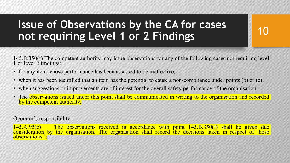## **Issue of Observations by the CA for cases not requiring Level 1 or 2 Findings**

145.B.350(f) The competent authority may issue observations for any of the following cases not requiring level 1 or level 2 findings:

10

- for any item whose performance has been assessed to be ineffective;
- when it has been identified that an item has the potential to cause a non-compliance under points (b) or (c);
- when suggestions or improvements are of interest for the overall safety performance of the organisation.
- The observations issued under this point shall be communicated in writing to the organisation and recorded by the competent authority.

Operator's responsibility:

145.A.95(c) The observations received in accordance with point 145.B.350(f) shall be given due consideration by the organisation. The organisation shall record the decisions taken in respect of those observations.';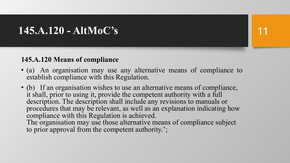#### **145.A.120 - AltMoC's**

#### **145.A.120 Means of compliance**

- (a) An organisation may use any alternative means of compliance to establish compliance with this Regulation.
- (b) If an organisation wishes to use an alternative means of compliance, it shall, prior to using it, provide the competent authority with a full description. The description shall include any revisions to manuals or procedures that may be relevant, as well as an explanation indicating how compliance with this Regulation is achieved.

The organisation may use those alternative means of compliance subject to prior approval from the competent authority.';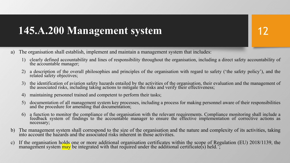#### **145.A.200 Management system**

- a) The organisation shall establish, implement and maintain a management system that includes:
	- 1) clearly defined accountability and lines of responsibility throughout the organisation, including a direct safety accountability of the accountable manager;
	- 2) a description of the overall philosophies and principles of the organisation with regard to safety ('the safety policy'), and the related safety objectives;
	- 3) the identification of aviation safety hazards entailed by the activities of the organisation, their evaluation and the management of the associated risks, including taking actions to mitigate the risks and verify their effectiveness;
	- 4) maintaining personnel trained and competent to perform their tasks;
	- 5) documentation of all management system key processes, including <sup>a</sup> process for making personnel aware of their responsibilities and the procedure for amending that documentation;
	- 6) a function to monitor the compliance of the organisation with the relevant requirements. Compliance monitoring shall include a feedback system of findings to the accountable manager to ensure the effective implementation of corrective actions as necessary;
- b) The management system shall correspond to the size of the organisation and the nature and complexity of its activities, taking into account the hazards and the associated risks inherent in those activities.
- c) If the organisation holds one or more additional organisation certificates within the scope of Regulation (EU) 2018/1139, the management system <mark>may</mark> be integrated with that required under the additional certificate(s) held.';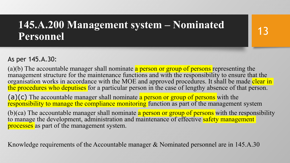#### **145.A.200 Management system – Nominated Personnel**

#### As per 145.A.30:

(a)(b) The accountable manager shall nominate a person or group of persons representing the management structure for the maintenance functions and with the responsibility to ensure that the organisation works in accordance with the MOE and approved procedures. It shall be made clear in the procedures who deputises for a particular person in the case of lengthy absence of that person.

(a)(c) The accountable manager shall nominate a person or group of persons with the responsibility to manage the compliance monitoring function as part of the management system

(b)(ca) The accountable manager shall nominate  $\alpha$  person or group of persons with the responsibility to manage the development, administration and maintenance of effective safety management processes as part of the management system.

Knowledge requirements of the Accountable manager & Nominated personnel are in 145.A.30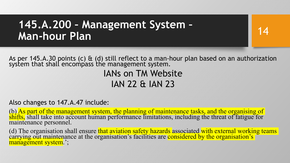#### **145.A.200 – Management System – Man-hour Plan**

14

As per 145.A.30 points (c)  $\theta$  (d) still reflect to a man-hour plan based on an authorization system that shall encompass the management system.

IANs on TM Website IAN 22 & IAN 23

Also changes to 147.A.47 include:

(b) As part of the management system, the planning of maintenance tasks, and the organising of shifts, shall take into account human performance limitations, including the threat of fatigue for maintenance personnel.

(d) The organisation shall ensure that aviation safety hazards associated with external working teams carrying out maintenance at the organisation's facilities are considered by the organisation's facilities are considered management system.';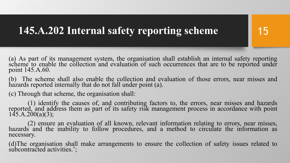### **145.A.202 Internal safety reporting scheme**

(a) As part of its management system, the organisation shall establish an internal safety reporting scheme to enable the collection and evaluation of such occurrences that are to be reported under point 145.A.60.

15

(b) The scheme shall also enable the collection and evaluation of those errors, near misses and hazards reported internally that do not fall under point (a).

(c) Through that scheme, the organisation shall:

(1) identify the causes of, and contributing factors to, the errors, near misses and hazards reported, and address them as part of its safety risk management process in accordance with point 145.A.200(a)(3);

(2) ensure an evaluation of all known, relevant information relating to errors, near misses, hazards and the inability to follow procedures, and <sup>a</sup> method to circulate the information as necessary.

(d)The organisation shall make arrangements to ensure the collection of safety issues related to subcontracted activities.';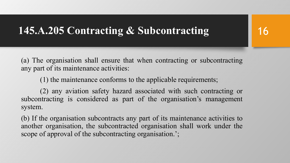#### **145.A.205 Contracting & Subcontracting**

(a) The organisation shall ensure that when contracting or subcontracting any part of its maintenance activities:

(1) the maintenance conforms to the applicable requirements;

(2) any aviation safety hazard associated with such contracting or subcontracting is considered as part of the organisation's management system.

(b) If the organisation subcontracts any part of its maintenance activities to another organisation, the subcontracted organisation shall work under the scope of approval of the subcontracting organisation.';